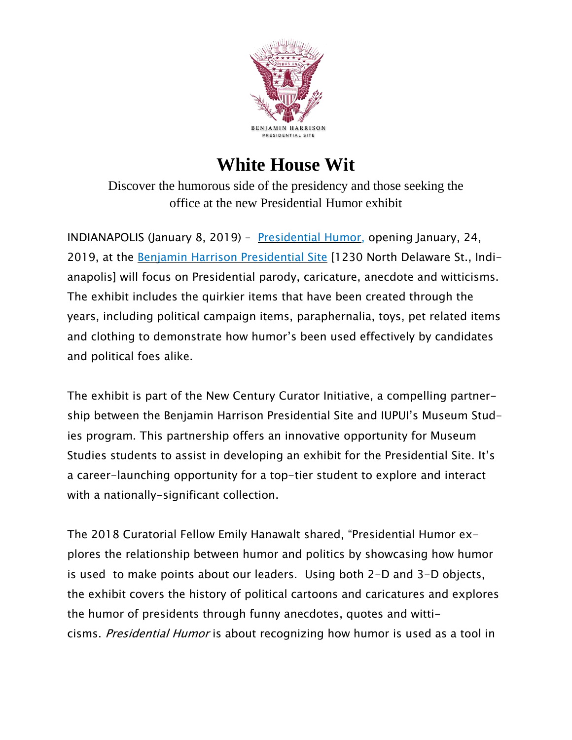

## **White House Wit**

Discover the humorous side of the presidency and those seeking the office at the new Presidential Humor exhibit

INDIANAPOLIS (January 8, 2019) – [Presidential](https://bhpsite.org/presidential-humor/) Humor, opening January, 24, 2019, at the Benjamin Harrison [Presidential](https://bhpsite.org/) Site [1230 North Delaware St., Indianapolis] will focus on Presidential parody, caricature, anecdote and witticisms. The exhibit includes the quirkier items that have been created through the years, including political campaign items, paraphernalia, toys, pet related items and clothing to demonstrate how humor's been used effectively by candidates and political foes alike.

The exhibit is part of the New Century Curator Initiative, a compelling partnership between the Benjamin Harrison Presidential Site and IUPUI's Museum Studies program. This partnership offers an innovative opportunity for Museum Studies students to assist in developing an exhibit for the Presidential Site. It's a career-launching opportunity for a top-tier student to explore and interact with a nationally-significant collection.

The 2018 Curatorial Fellow Emily Hanawalt shared, "Presidential Humor explores the relationship between humor and politics by showcasing how humor is used to make points about our leaders. Using both 2-D and 3-D objects, the exhibit covers the history of political cartoons and caricatures and explores the humor of presidents through funny anecdotes, quotes and witticisms. Presidential Humor is about recognizing how humor is used as a tool in